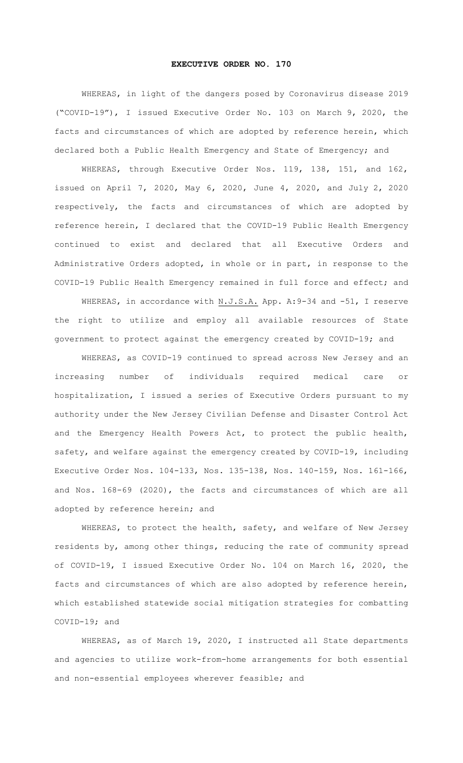## **EXECUTIVE ORDER NO. 170**

WHEREAS, in light of the dangers posed by Coronavirus disease 2019 ("COVID-19"), I issued Executive Order No. 103 on March 9, 2020, the facts and circumstances of which are adopted by reference herein, which declared both a Public Health Emergency and State of Emergency; and

WHEREAS, through Executive Order Nos. 119, 138, 151, and 162, issued on April 7, 2020, May 6, 2020, June 4, 2020, and July 2, 2020 respectively, the facts and circumstances of which are adopted by reference herein, I declared that the COVID-19 Public Health Emergency continued to exist and declared that all Executive Orders and Administrative Orders adopted, in whole or in part, in response to the COVID-19 Public Health Emergency remained in full force and effect; and

WHEREAS, in accordance with N.J.S.A. App. A: 9-34 and -51, I reserve the right to utilize and employ all available resources of State government to protect against the emergency created by COVID-19; and

WHEREAS, as COVID-19 continued to spread across New Jersey and an increasing number of individuals required medical care or hospitalization, I issued a series of Executive Orders pursuant to my authority under the New Jersey Civilian Defense and Disaster Control Act and the Emergency Health Powers Act, to protect the public health, safety, and welfare against the emergency created by COVID-19, including Executive Order Nos. 104-133, Nos. 135-138, Nos. 140-159, Nos. 161-166, and Nos. 168-69 (2020), the facts and circumstances of which are all adopted by reference herein; and

WHEREAS, to protect the health, safety, and welfare of New Jersey residents by, among other things, reducing the rate of community spread of COVID-19, I issued Executive Order No. 104 on March 16, 2020, the facts and circumstances of which are also adopted by reference herein, which established statewide social mitigation strategies for combatting COVID-19; and

WHEREAS, as of March 19, 2020, I instructed all State departments and agencies to utilize work-from-home arrangements for both essential and non-essential employees wherever feasible; and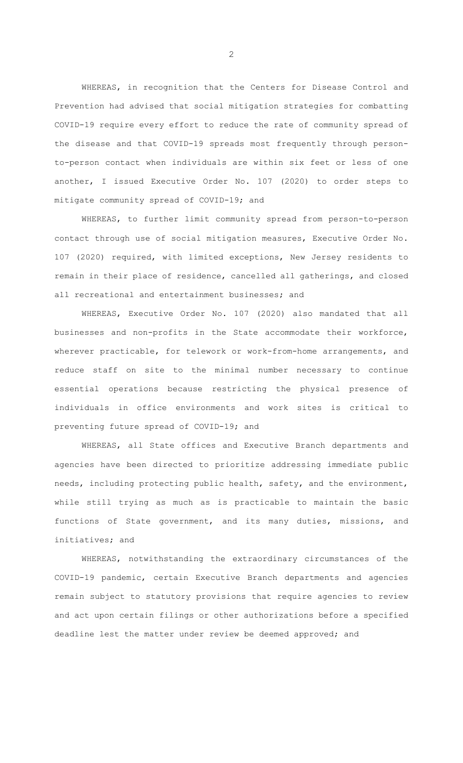WHEREAS, in recognition that the Centers for Disease Control and Prevention had advised that social mitigation strategies for combatting COVID-19 require every effort to reduce the rate of community spread of the disease and that COVID-19 spreads most frequently through personto-person contact when individuals are within six feet or less of one another, I issued Executive Order No. 107 (2020) to order steps to mitigate community spread of COVID-19; and

WHEREAS, to further limit community spread from person-to-person contact through use of social mitigation measures, Executive Order No. 107 (2020) required, with limited exceptions, New Jersey residents to remain in their place of residence, cancelled all gatherings, and closed all recreational and entertainment businesses; and

WHEREAS, Executive Order No. 107 (2020) also mandated that all businesses and non-profits in the State accommodate their workforce, wherever practicable, for telework or work-from-home arrangements, and reduce staff on site to the minimal number necessary to continue essential operations because restricting the physical presence of individuals in office environments and work sites is critical to preventing future spread of COVID-19; and

WHEREAS, all State offices and Executive Branch departments and agencies have been directed to prioritize addressing immediate public needs, including protecting public health, safety, and the environment, while still trying as much as is practicable to maintain the basic functions of State government, and its many duties, missions, and initiatives; and

WHEREAS, notwithstanding the extraordinary circumstances of the COVID-19 pandemic, certain Executive Branch departments and agencies remain subject to statutory provisions that require agencies to review and act upon certain filings or other authorizations before a specified deadline lest the matter under review be deemed approved; and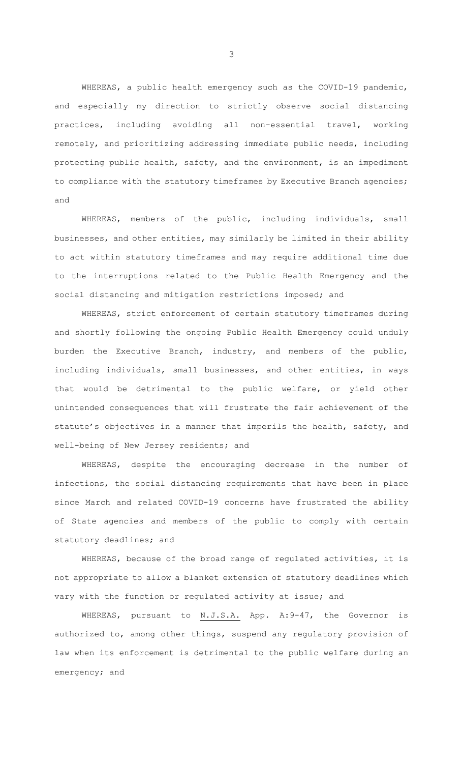WHEREAS, a public health emergency such as the COVID-19 pandemic, and especially my direction to strictly observe social distancing practices, including avoiding all non-essential travel, working remotely, and prioritizing addressing immediate public needs, including protecting public health, safety, and the environment, is an impediment to compliance with the statutory timeframes by Executive Branch agencies; and

WHEREAS, members of the public, including individuals, small businesses, and other entities, may similarly be limited in their ability to act within statutory timeframes and may require additional time due to the interruptions related to the Public Health Emergency and the social distancing and mitigation restrictions imposed; and

WHEREAS, strict enforcement of certain statutory timeframes during and shortly following the ongoing Public Health Emergency could unduly burden the Executive Branch, industry, and members of the public, including individuals, small businesses, and other entities, in ways that would be detrimental to the public welfare, or yield other unintended consequences that will frustrate the fair achievement of the statute's objectives in a manner that imperils the health, safety, and well-being of New Jersey residents; and

WHEREAS, despite the encouraging decrease in the number of infections, the social distancing requirements that have been in place since March and related COVID-19 concerns have frustrated the ability of State agencies and members of the public to comply with certain statutory deadlines; and

WHEREAS, because of the broad range of regulated activities, it is not appropriate to allow a blanket extension of statutory deadlines which vary with the function or regulated activity at issue; and

WHEREAS, pursuant to N.J.S.A. App. A:9-47, the Governor is authorized to, among other things, suspend any regulatory provision of law when its enforcement is detrimental to the public welfare during an emergency; and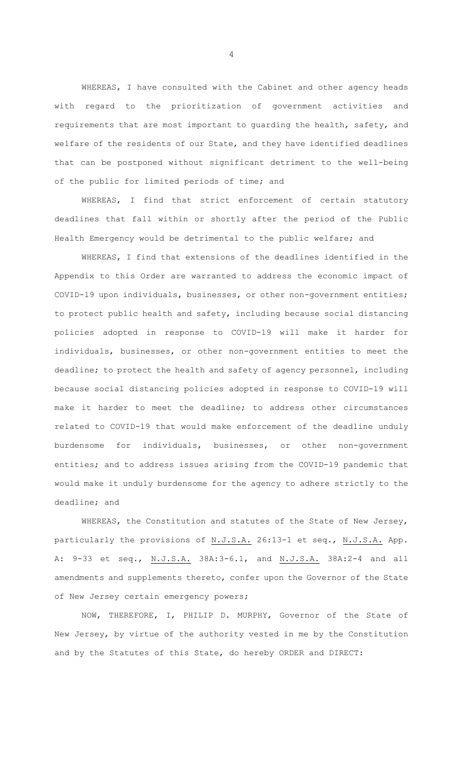WHEREAS, I have consulted with the Cabinet and other agency heads with regard to the prioritization of government activities and requirements that are most important to guarding the health, safety, and welfare of the residents of our State, and they have identified deadlines that can be postponed without significant detriment to the well-being of the public for limited periods of time; and

WHEREAS, I find that strict enforcement of certain statutory deadlines that fall within or shortly after the period of the Public Health Emergency would be detrimental to the public welfare; and

WHEREAS, I find that extensions of the deadlines identified in the Appendix to this Order are warranted to address the economic impact of COVID-19 upon individuals, businesses, or other non-government entities; to protect public health and safety, including because social distancing policies adopted in response to COVID-19 will make it harder for individuals, businesses, or other non-government entities to meet the deadline; to protect the health and safety of agency personnel, including because social distancing policies adopted in response to COVID-19 will make it harder to meet the deadline; to address other circumstances related to COVID-19 that would make enforcement of the deadline unduly burdensome for individuals, businesses, or other non-government entities; and to address issues arising from the COVID-19 pandemic that would make it unduly burdensome for the agency to adhere strictly to the deadline; and

WHEREAS, the Constitution and statutes of the State of New Jersey, particularly the provisions of N.J.S.A. 26:13-1 et seq., N.J.S.A. App. A: 9-33 et seq., N.J.S.A. 38A:3-6.1, and N.J.S.A. 38A:2-4 and all amendments and supplements thereto, confer upon the Governor of the State of New Jersey certain emergency powers;

 NOW, THEREFORE, I, PHILIP D. MURPHY, Governor of the State of New Jersey, by virtue of the authority vested in me by the Constitution and by the Statutes of this State, do hereby ORDER and DIRECT: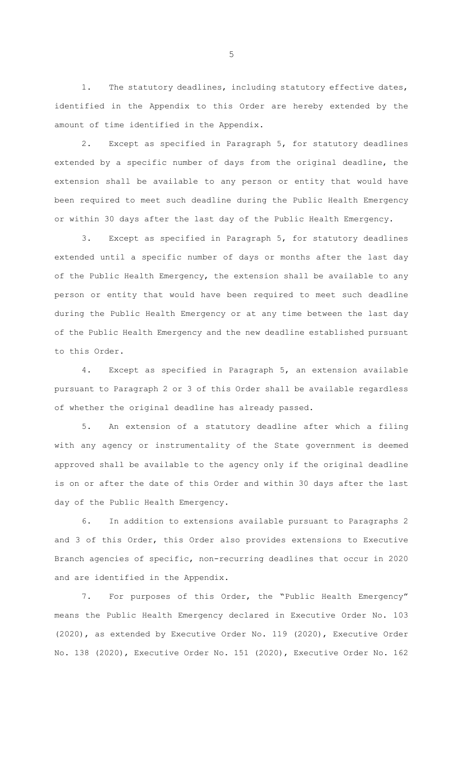1. The statutory deadlines, including statutory effective dates, identified in the Appendix to this Order are hereby extended by the amount of time identified in the Appendix.

2. Except as specified in Paragraph 5, for statutory deadlines extended by a specific number of days from the original deadline, the extension shall be available to any person or entity that would have been required to meet such deadline during the Public Health Emergency or within 30 days after the last day of the Public Health Emergency.

3. Except as specified in Paragraph 5, for statutory deadlines extended until a specific number of days or months after the last day of the Public Health Emergency, the extension shall be available to any person or entity that would have been required to meet such deadline during the Public Health Emergency or at any time between the last day of the Public Health Emergency and the new deadline established pursuant to this Order.

4. Except as specified in Paragraph 5, an extension available pursuant to Paragraph 2 or 3 of this Order shall be available regardless of whether the original deadline has already passed.

5. An extension of a statutory deadline after which a filing with any agency or instrumentality of the State government is deemed approved shall be available to the agency only if the original deadline is on or after the date of this Order and within 30 days after the last day of the Public Health Emergency.

6. In addition to extensions available pursuant to Paragraphs 2 and 3 of this Order, this Order also provides extensions to Executive Branch agencies of specific, non-recurring deadlines that occur in 2020 and are identified in the Appendix.

7. For purposes of this Order, the "Public Health Emergency" means the Public Health Emergency declared in Executive Order No. 103 (2020), as extended by Executive Order No. 119 (2020), Executive Order No. 138 (2020), Executive Order No. 151 (2020), Executive Order No. 162